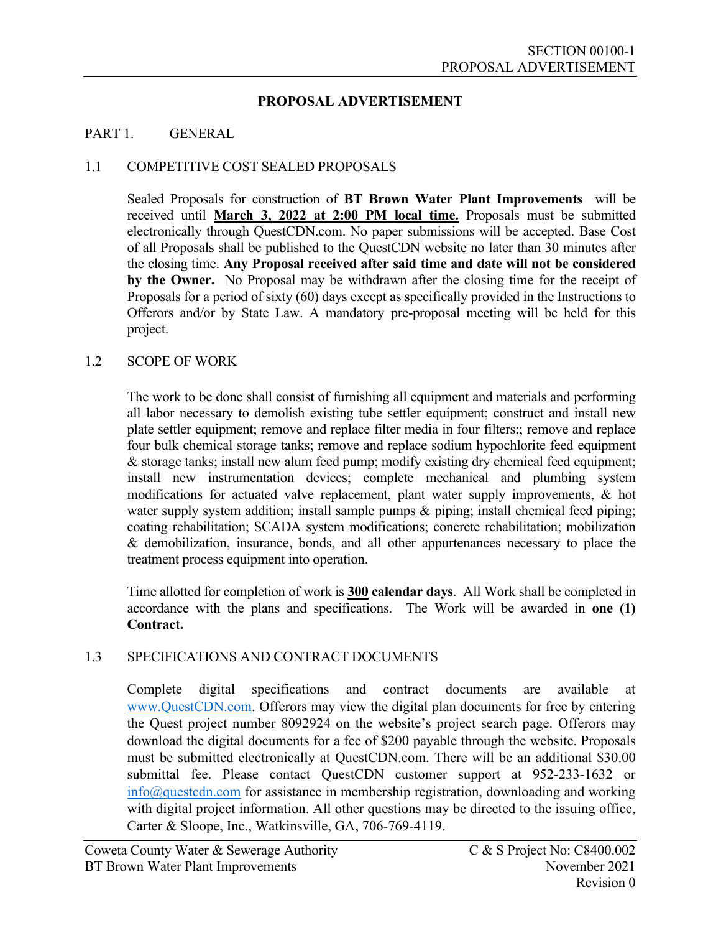## **PROPOSAL ADVERTISEMENT**

### PART 1. GENERAL

## 1.1 COMPETITIVE COST SEALED PROPOSALS

Sealed Proposals for construction of **BT Brown Water Plant Improvements** will be received until **March 3, 2022 at 2:00 PM local time.** Proposals must be submitted electronically through QuestCDN.com. No paper submissions will be accepted. Base Cost of all Proposals shall be published to the QuestCDN website no later than 30 minutes after the closing time. **Any Proposal received after said time and date will not be considered by the Owner.** No Proposal may be withdrawn after the closing time for the receipt of Proposals for a period of sixty (60) days except as specifically provided in the Instructions to Offerors and/or by State Law. A mandatory pre-proposal meeting will be held for this project.

### 1.2 SCOPE OF WORK

The work to be done shall consist of furnishing all equipment and materials and performing all labor necessary to demolish existing tube settler equipment; construct and install new plate settler equipment; remove and replace filter media in four filters;; remove and replace four bulk chemical storage tanks; remove and replace sodium hypochlorite feed equipment & storage tanks; install new alum feed pump; modify existing dry chemical feed equipment; install new instrumentation devices; complete mechanical and plumbing system modifications for actuated valve replacement, plant water supply improvements, & hot water supply system addition; install sample pumps & piping; install chemical feed piping; coating rehabilitation; SCADA system modifications; concrete rehabilitation; mobilization & demobilization, insurance, bonds, and all other appurtenances necessary to place the treatment process equipment into operation.

 Time allotted for completion of work is **300 calendar days**. All Work shall be completed in accordance with the plans and specifications. The Work will be awarded in **one (1) Contract.**

# 1.3 SPECIFICATIONS AND CONTRACT DOCUMENTS

Complete digital specifications and contract documents are available at www.QuestCDN.com. Offerors may view the digital plan documents for free by entering the Quest project number 8092924 on the website's project search page. Offerors may download the digital documents for a fee of \$200 payable through the website. Proposals must be submitted electronically at QuestCDN.com. There will be an additional \$30.00 submittal fee. Please contact QuestCDN customer support at 952-233-1632 or info@questcdn.com for assistance in membership registration, downloading and working with digital project information. All other questions may be directed to the issuing office, Carter & Sloope, Inc., Watkinsville, GA, 706-769-4119.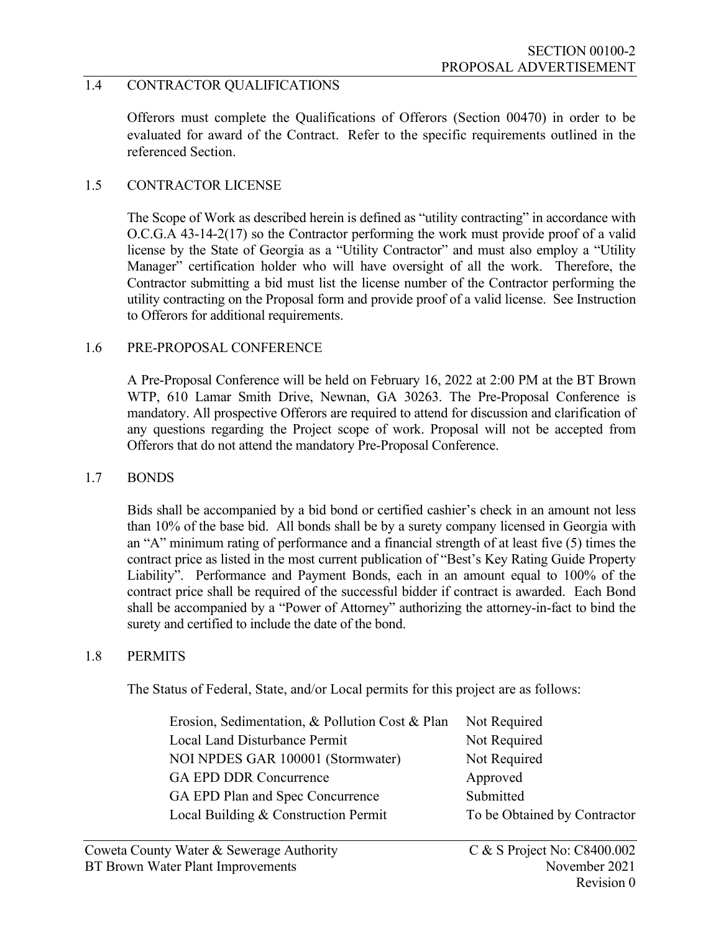# 1.4 CONTRACTOR QUALIFICATIONS

Offerors must complete the Qualifications of Offerors (Section 00470) in order to be evaluated for award of the Contract. Refer to the specific requirements outlined in the referenced Section.

### 1.5 CONTRACTOR LICENSE

The Scope of Work as described herein is defined as "utility contracting" in accordance with O.C.G.A 43-14-2(17) so the Contractor performing the work must provide proof of a valid license by the State of Georgia as a "Utility Contractor" and must also employ a "Utility Manager" certification holder who will have oversight of all the work. Therefore, the Contractor submitting a bid must list the license number of the Contractor performing the utility contracting on the Proposal form and provide proof of a valid license. See Instruction to Offerors for additional requirements.

### 1.6 PRE-PROPOSAL CONFERENCE

A Pre-Proposal Conference will be held on February 16, 2022 at 2:00 PM at the BT Brown WTP, 610 Lamar Smith Drive, Newnan, GA 30263. The Pre-Proposal Conference is mandatory. All prospective Offerors are required to attend for discussion and clarification of any questions regarding the Project scope of work. Proposal will not be accepted from Offerors that do not attend the mandatory Pre-Proposal Conference.

### 1.7 BONDS

Bids shall be accompanied by a bid bond or certified cashier's check in an amount not less than 10% of the base bid. All bonds shall be by a surety company licensed in Georgia with an "A" minimum rating of performance and a financial strength of at least five (5) times the contract price as listed in the most current publication of "Best's Key Rating Guide Property Liability". Performance and Payment Bonds, each in an amount equal to 100% of the contract price shall be required of the successful bidder if contract is awarded. Each Bond shall be accompanied by a "Power of Attorney" authorizing the attorney-in-fact to bind the surety and certified to include the date of the bond.

### 1.8 PERMITS

The Status of Federal, State, and/or Local permits for this project are as follows:

| Erosion, Sedimentation, & Pollution Cost & Plan | Not Required                 |
|-------------------------------------------------|------------------------------|
| Local Land Disturbance Permit                   | Not Required                 |
| NOI NPDES GAR 100001 (Stormwater)               | Not Required                 |
| <b>GA EPD DDR Concurrence</b>                   | Approved                     |
| GA EPD Plan and Spec Concurrence                | Submitted                    |
| Local Building & Construction Permit            | To be Obtained by Contractor |